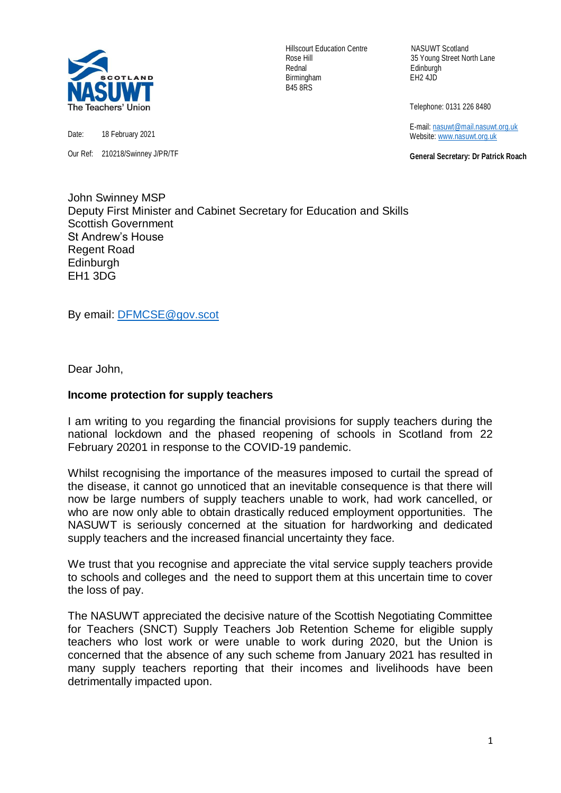

Date: 18 February 2021

Our Ref: 210218/Swinney J/PR/TF

Hillscourt Education Centre NASUWT Scotland Rednal Edinburgh Birmingham EH2 4JD B45 8RS

Rose Hill 35 Young Street North Lane

Telephone: 0131 226 8480

 E-mail[: nasuwt@mail.nasuwt.org.uk](mailto:nasuwt@mail.nasuwt.org.uk) Website: [www.nasuwt.org.uk](http://www.nasuwt.org.uk/)

 **General Secretary: Dr Patrick Roach**

John Swinney MSP Deputy First Minister and Cabinet Secretary for Education and Skills Scottish Government St Andrew's House Regent Road Edinburgh EH1 3DG

By email: [DFMCSE@gov.scot](mailto:DFMCSE@gov.scot)

Dear John,

## **Income protection for supply teachers**

I am writing to you regarding the financial provisions for supply teachers during the national lockdown and the phased reopening of schools in Scotland from 22 February 20201 in response to the COVID-19 pandemic.

Whilst recognising the importance of the measures imposed to curtail the spread of the disease, it cannot go unnoticed that an inevitable consequence is that there will now be large numbers of supply teachers unable to work, had work cancelled, or who are now only able to obtain drastically reduced employment opportunities. The NASUWT is seriously concerned at the situation for hardworking and dedicated supply teachers and the increased financial uncertainty they face.

We trust that you recognise and appreciate the vital service supply teachers provide to schools and colleges and the need to support them at this uncertain time to cover the loss of pay.

The NASUWT appreciated the decisive nature of the Scottish Negotiating Committee for Teachers (SNCT) Supply Teachers Job Retention Scheme for eligible supply teachers who lost work or were unable to work during 2020, but the Union is concerned that the absence of any such scheme from January 2021 has resulted in many supply teachers reporting that their incomes and livelihoods have been detrimentally impacted upon.